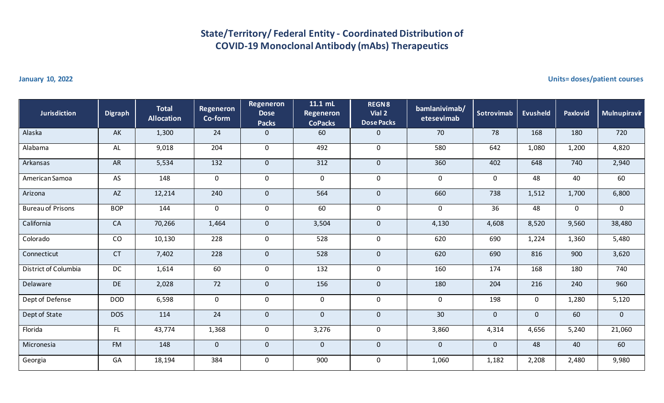## **State/Territory/ Federal Entity - Coordinated Distribution of COVID-19 Monoclonal Antibody (mAbs) Therapeutics**

**January 10, 2022 Units= doses/patient courses**

| <b>Jurisdiction</b>      | <b>Digraph</b>         | <b>Total</b><br><b>Allocation</b> | <b>Regeneron</b><br>Co-form | Regeneron<br><b>Dose</b><br><b>Packs</b> | 11.1 mL<br><b>Regeneron</b><br><b>CoPacks</b> | <b>REGN8</b><br>Vial 2<br><b>Dose Packs</b> | bamlanivimab/<br>etesevimab | Sotrovimab   | <b>Evusheld</b> | <b>Paxlovid</b> | Mulnupiravir |
|--------------------------|------------------------|-----------------------------------|-----------------------------|------------------------------------------|-----------------------------------------------|---------------------------------------------|-----------------------------|--------------|-----------------|-----------------|--------------|
| Alaska                   | AK                     | 1,300                             | 24                          | $\mathbf 0$                              | 60                                            | 0                                           | 70                          | 78           | 168             | 180             | 720          |
| Alabama                  | <b>AL</b>              | 9,018                             | 204                         | $\mathbf 0$                              | 492                                           | $\mathbf 0$                                 | 580                         | 642          | 1,080           | 1,200           | 4,820        |
| Arkansas                 | <b>AR</b>              | 5,534                             | $\overline{132}$            | $\mathbf 0$                              | 312                                           | $\overline{0}$                              | 360                         | 402          | 648             | 740             | 2,940        |
| American Samoa           | AS                     | 148                               | $\mathsf{O}\xspace$         | $\pmb{0}$                                | $\mathbf 0$                                   | $\mathbf 0$                                 | $\mathbf 0$                 | $\mathbf 0$  | 48              | 40              | 60           |
| Arizona                  | $\mathsf{A}\mathsf{Z}$ | 12,214                            | 240                         | $\pmb{0}$                                | 564                                           | $\mathbf{0}$                                | 660                         | 738          | 1,512           | 1,700           | 6,800        |
| <b>Bureau of Prisons</b> | <b>BOP</b>             | 144                               | $\mathbf 0$                 | $\mathbf 0$                              | 60                                            | $\mathbf 0$                                 | $\mathbf 0$                 | 36           | 48              | $\mathbf 0$     | $\mathbf 0$  |
| California               | CA                     | 70,266                            | 1,464                       | $\pmb{0}$                                | 3,504                                         | $\mathbf{0}$                                | 4,130                       | 4,608        | 8,520           | 9,560           | 38,480       |
| Colorado                 | CO                     | 10,130                            | 228                         | $\mathbf 0$                              | 528                                           | $\mathbf 0$                                 | 620                         | 690          | 1,224           | 1,360           | 5,480        |
| Connecticut              | CT                     | 7,402                             | 228                         | $\mathbf 0$                              | 528                                           | $\overline{0}$                              | 620                         | 690          | 816             | 900             | 3,620        |
| District of Columbia     | DC                     | 1,614                             | 60                          | $\mathbf 0$                              | 132                                           | $\mathbf 0$                                 | 160                         | 174          | 168             | 180             | 740          |
| Delaware                 | DE                     | 2,028                             | 72                          | $\pmb{0}$                                | 156                                           | $\mathbf{0}$                                | 180                         | 204          | 216             | 240             | 960          |
| Dept of Defense          | <b>DOD</b>             | 6,598                             | $\mathsf 0$                 | $\mathbf 0$                              | $\mathbf 0$                                   | $\mathbf 0$                                 | $\mathbf 0$                 | 198          | $\mathbf 0$     | 1,280           | 5,120        |
| Dept of State            | <b>DOS</b>             | 114                               | 24                          | $\pmb{0}$                                | $\mathbf 0$                                   | $\mathbf{0}$                                | 30                          | $\mathbf{0}$ | $\mathbf{0}$    | 60              | $\mathbf{0}$ |
| Florida                  | FL                     | 43,774                            | 1,368                       | $\pmb{0}$                                | 3,276                                         | $\mathbf 0$                                 | 3,860                       | 4,314        | 4,656           | 5,240           | 21,060       |
| Micronesia               | <b>FM</b>              | 148                               | $\mathbf 0$                 | $\pmb{0}$                                | $\mathbf 0$                                   | $\mathbf{0}$                                | $\overline{0}$              | $\mathbf{0}$ | 48              | 40              | 60           |
| Georgia                  | GA                     | 18,194                            | 384                         | $\pmb{0}$                                | 900                                           | $\mathbf 0$                                 | 1,060                       | 1,182        | 2,208           | 2,480           | 9,980        |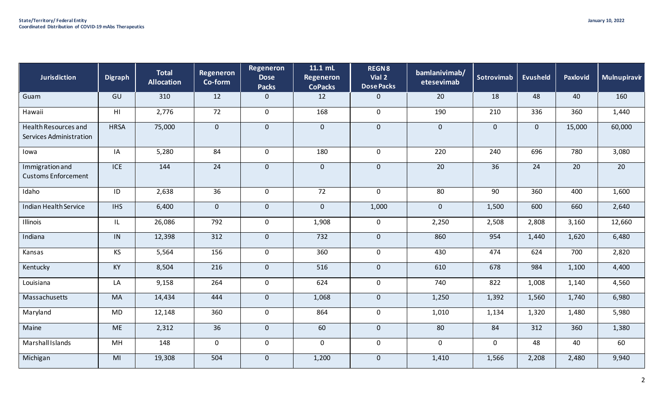| <b>Jurisdiction</b>                             | <b>Digraph</b> | <b>Total</b><br><b>Allocation</b> | <b>Regeneron</b><br>Co-form | Regeneron<br><b>Dose</b><br><b>Packs</b> | 11.1 mL<br>Regeneron<br><b>CoPacks</b> | <b>REGN8</b><br>Vial 2<br><b>Dose Packs</b> | bamlanivimab/<br>etesevimab | Sotrovimab      | <b>Evusheld</b> | Paxlovid | Mulnupiravir    |
|-------------------------------------------------|----------------|-----------------------------------|-----------------------------|------------------------------------------|----------------------------------------|---------------------------------------------|-----------------------------|-----------------|-----------------|----------|-----------------|
| Guam                                            | GU             | 310                               | 12                          | $\mathbf 0$                              | 12                                     | $\mathbf{0}$                                | 20                          | 18              | 48              | 40       | 160             |
| Hawaii                                          | H1             | 2,776                             | 72                          | $\mathbf 0$                              | 168                                    | $\mathbf 0$                                 | 190                         | 210             | 336             | 360      | 1,440           |
| Health Resources and<br>Services Administration | <b>HRSA</b>    | 75,000                            | $\mathbf 0$                 | $\mathbf 0$                              | $\mathbf 0$                            | $\mathbf 0$                                 | $\overline{0}$              | $\mathbf 0$     | $\mathbf 0$     | 15,000   | 60,000          |
| Iowa                                            | IA             | 5,280                             | 84                          | $\mathbf 0$                              | 180                                    | $\mathbf 0$                                 | 220                         | 240             | 696             | 780      | 3,080           |
| Immigration and<br><b>Customs Enforcement</b>   | ICE            | 144                               | $\overline{24}$             | $\mathbf 0$                              | $\mathbf 0$                            | $\mathbf 0$                                 | $\overline{20}$             | $\overline{36}$ | 24              | 20       | $\overline{20}$ |
| Idaho                                           | ID             | 2,638                             | $\overline{36}$             | $\mathbf 0$                              | $\overline{72}$                        | $\mathbf 0$                                 | 80                          | $\overline{90}$ | 360             | 400      | 1,600           |
| Indian Health Service                           | <b>IHS</b>     | 6,400                             | $\mathbf{0}$                | $\mathbf 0$                              | $\overline{0}$                         | 1,000                                       | $\overline{0}$              | 1,500           | 600             | 660      | 2,640           |
| Illinois                                        | IL             | 26,086                            | 792                         | $\mathbf 0$                              | 1,908                                  | $\boldsymbol{0}$                            | 2,250                       | 2,508           | 2,808           | 3,160    | 12,660          |
| Indiana                                         | IN             | 12,398                            | 312                         | $\mathbf{0}$                             | $732$                                  | $\mathbf{0}$                                | 860                         | 954             | 1,440           | 1,620    | 6,480           |
| Kansas                                          | KS             | 5,564                             | 156                         | $\mathbf 0$                              | 360                                    | $\mathbf 0$                                 | 430                         | 474             | 624             | 700      | 2,820           |
| Kentucky                                        | KY             | 8,504                             | 216                         | $\mathbf 0$                              | 516                                    | $\mathbf 0$                                 | 610                         | 678             | 984             | 1,100    | 4,400           |
| Louisiana                                       | LA             | 9,158                             | 264                         | $\mathbf 0$                              | 624                                    | $\boldsymbol{0}$                            | 740                         | 822             | 1,008           | 1,140    | 4,560           |
| Massachusetts                                   | <b>MA</b>      | 14,434                            | 444                         | $\mathbf 0$                              | 1,068                                  | $\overline{0}$                              | 1,250                       | 1,392           | 1,560           | 1,740    | 6,980           |
| Maryland                                        | MD             | 12,148                            | 360                         | $\mathbf 0$                              | 864                                    | $\mathbf 0$                                 | 1,010                       | 1,134           | 1,320           | 1,480    | 5,980           |
| Maine                                           | <b>ME</b>      | 2,312                             | 36                          | $\mathbf 0$                              | 60                                     | $\mathbf{0}$                                | 80                          | 84              | 312             | 360      | 1,380           |
| Marshall Islands                                | MH             | 148                               | $\mathbf 0$                 | $\mathbf 0$                              | 0                                      | $\mathbf 0$                                 | $\mathbf 0$                 | $\mathbf 0$     | 48              | 40       | 60              |
| Michigan                                        | MI             | 19,308                            | 504                         | $\mathbf 0$                              | 1,200                                  | $\mathbf{0}$                                | 1,410                       | 1,566           | 2,208           | 2,480    | 9,940           |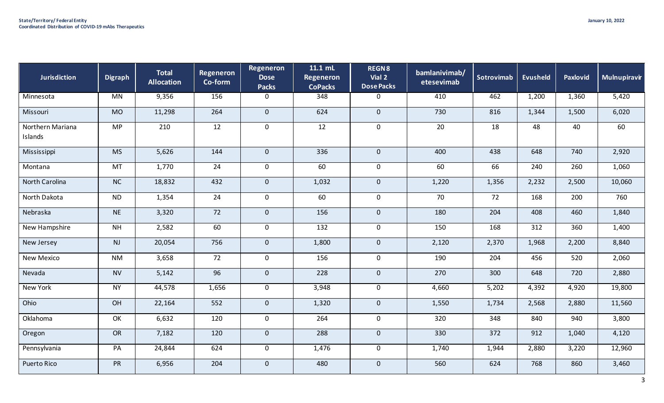| <b>Jurisdiction</b>         | <b>Digraph</b> | <b>Total</b><br><b>Allocation</b> | Regeneron<br>Co-form | Regeneron<br><b>Dose</b><br><b>Packs</b> | 11.1 mL<br>Regeneron<br><b>CoPacks</b> | <b>REGN8</b><br>Vial 2<br><b>Dose Packs</b> | bamlanivimab/<br>etesevimab | Sotrovimab | <b>Evusheld</b> | Paxlovid | Mulnupiravir |
|-----------------------------|----------------|-----------------------------------|----------------------|------------------------------------------|----------------------------------------|---------------------------------------------|-----------------------------|------------|-----------------|----------|--------------|
| Minnesota                   | MN             | 9,356                             | 156                  | $\mathbf 0$                              | 348                                    | $\mathbf 0$                                 | 410                         | 462        | 1,200           | 1,360    | 5,420        |
| Missouri                    | <b>MO</b>      | 11,298                            | 264                  | $\mathbf 0$                              | 624                                    | $\mathbf{0}$                                | 730                         | 816        | 1,344           | 1,500    | 6,020        |
| Northern Mariana<br>Islands | <b>MP</b>      | 210                               | 12                   | $\mathbf 0$                              | 12                                     | $\mathbf 0$                                 | 20                          | 18         | 48              | 40       | 60           |
| Mississippi                 | <b>MS</b>      | 5,626                             | 144                  | $\mathbf{0}$                             | 336                                    | $\overline{0}$                              | 400                         | 438        | 648             | 740      | 2,920        |
| Montana                     | MT             | 1,770                             | $\overline{24}$      | $\mathbf 0$                              | 60                                     | $\mathbf 0$                                 | 60                          | 66         | 240             | 260      | 1,060        |
| North Carolina              | NC             | 18,832                            | 432                  | $\mathbf{0}$                             | 1,032                                  | $\overline{0}$                              | 1,220                       | 1,356      | 2,232           | 2,500    | 10,060       |
| North Dakota                | <b>ND</b>      | 1,354                             | 24                   | $\mathbf 0$                              | 60                                     | $\mathbf 0$                                 | 70                          | 72         | 168             | 200      | 760          |
| Nebraska                    | <b>NE</b>      | 3,320                             | 72                   | $\mathbf{0}$                             | 156                                    | $\overline{0}$                              | 180                         | 204        | 408             | 460      | 1,840        |
| New Hampshire               | N <sub>H</sub> | 2,582                             | 60                   | $\mathbf 0$                              | $\overline{132}$                       | $\mathbf 0$                                 | 150                         | 168        | 312             | 360      | 1,400        |
| New Jersey                  | NJ             | 20,054                            | 756                  | $\mathbf 0$                              | 1,800                                  | $\mathbf 0$                                 | 2,120                       | 2,370      | 1,968           | 2,200    | 8,840        |
| New Mexico                  | <b>NM</b>      | 3,658                             | 72                   | $\mathbf 0$                              | 156                                    | $\mathbf 0$                                 | 190                         | 204        | 456             | 520      | 2,060        |
| Nevada                      | <b>NV</b>      | 5,142                             | 96                   | $\mathbf{0}$                             | 228                                    | $\overline{0}$                              | 270                         | 300        | 648             | 720      | 2,880        |
| New York                    | <b>NY</b>      | 44,578                            | 1,656                | $\mathbf 0$                              | 3,948                                  | $\mathbf 0$                                 | 4,660                       | 5,202      | 4,392           | 4,920    | 19,800       |
| Ohio                        | OH             | 22,164                            | 552                  | $\mathbf{0}$                             | 1,320                                  | $\mathbf 0$                                 | 1,550                       | 1,734      | 2,568           | 2,880    | 11,560       |
| Oklahoma                    | OK             | 6,632                             | 120                  | $\mathbf 0$                              | 264                                    | $\mathbf 0$                                 | 320                         | 348        | 840             | 940      | 3,800        |
| Oregon                      | <b>OR</b>      | 7,182                             | 120                  | $\mathbf{0}$                             | 288                                    | $\mathbf 0$                                 | 330                         | 372        | 912             | 1,040    | 4,120        |
| Pennsylvania                | PA             | 24,844                            | 624                  | $\mathbf 0$                              | 1,476                                  | $\mathbf 0$                                 | 1,740                       | 1,944      | 2,880           | 3,220    | 12,960       |
| <b>Puerto Rico</b>          | PR             | 6,956                             | 204                  | $\mathbf 0$                              | 480                                    | $\mathbf 0$                                 | 560                         | 624        | 768             | 860      | 3,460        |